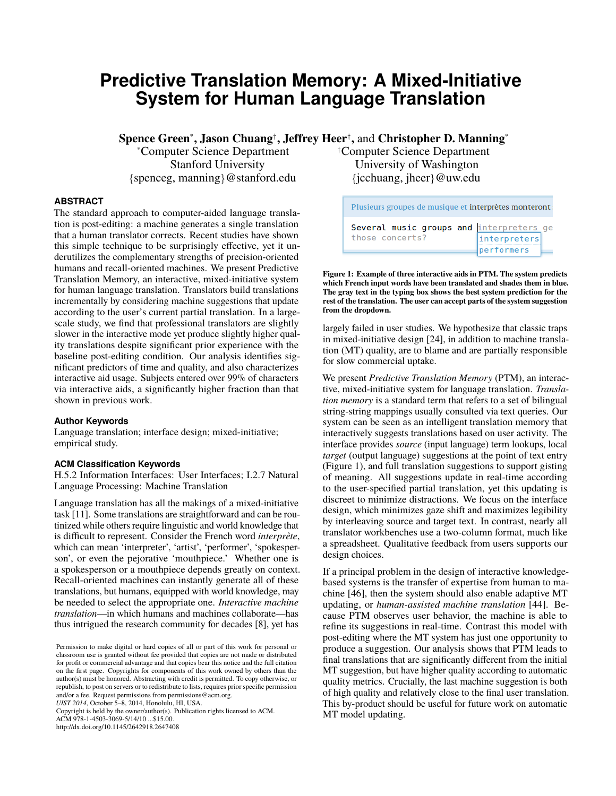# **Predictive Translation Memory: A Mixed-Initiative System for Human Language Translation**

Spence Green\* , Jason Chuang† , Jeffrey Heer† , and Christopher D. Manning\*

\*Computer Science Department †Computer Science Department {spenceg, manning}@stanford.edu {jcchuang, jheer}@uw.edu

# **ABSTRACT**

The standard approach to computer-aided language translation is post-editing: a machine generates a single translation that a human translator corrects. Recent studies have shown this simple technique to be surprisingly effective, yet it underutilizes the complementary strengths of precision-oriented humans and recall-oriented machines. We present Predictive Translation Memory, an interactive, mixed-initiative system for human language translation. Translators build translations incrementally by considering machine suggestions that update according to the user's current partial translation. In a largescale study, we find that professional translators are slightly slower in the interactive mode yet produce slightly higher quality translations despite significant prior experience with the baseline post-editing condition. Our analysis identifies significant predictors of time and quality, and also characterizes interactive aid usage. Subjects entered over 99% of characters via interactive aids, a significantly higher fraction than that shown in previous work.

### **Author Keywords**

Language translation; interface design; mixed-initiative; empirical study.

### **ACM Classification Keywords**

H.5.2 Information Interfaces: User Interfaces; I.2.7 Natural Language Processing: Machine Translation

Language translation has all the makings of a mixed-initiative task [\[11\]](#page-10-0). Some translations are straightforward and can be routinized while others require linguistic and world knowledge that is difficult to represent. Consider the French word *interprète*, which can mean 'interpreter', 'artist', 'performer', 'spokesperson', or even the pejorative 'mouthpiece.' Whether one is a spokesperson or a mouthpiece depends greatly on context. Recall-oriented machines can instantly generate all of these translations, but humans, equipped with world knowledge, may be needed to select the appropriate one. *Interactive machine translation*—in which humans and machines collaborate—has thus intrigued the research community for decades [\[8\]](#page-10-1), yet has

*UIST 2014*, October 5–8, 2014, Honolulu, HI, USA.

Copyright is held by the owner/author(s). Publication rights licensed to ACM. ACM 978-1-4503-3069-5/14/10 ...\$15.00.

http://dx.doi.org/10.1145/2642918.2647408

Stanford University University of Washington

<span id="page-0-0"></span>

| Plusieurs groupes de musique et interprètes monteront |              |  |  |  |
|-------------------------------------------------------|--------------|--|--|--|
| Several music groups and interpreters ge              | interpreters |  |  |  |
| those concerts?                                       | performers   |  |  |  |

**Figure 1: Example of three interactive aids in PTM. The system predicts which French input words have been translated and shades them in blue. The gray text in the typing box shows the best system prediction for the rest of the translation. The user can accept parts of the system suggestion from the dropdown.**

largely failed in user studies. We hypothesize that classic traps in mixed-initiative design [\[24\]](#page-10-2), in addition to machine translation (MT) quality, are to blame and are partially responsible for slow commercial uptake.

We present *Predictive Translation Memory* (PTM), an interactive, mixed-initiative system for language translation. *Translation memory* is a standard term that refers to a set of bilingual string-string mappings usually consulted via text queries. Our system can be seen as an intelligent translation memory that interactively suggests translations based on user activity. The interface provides *source* (input language) term lookups, local *target* (output language) suggestions at the point of text entry (Figure [1\)](#page-0-0), and full translation suggestions to support gisting of meaning. All suggestions update in real-time according to the user-specified partial translation, yet this updating is discreet to minimize distractions. We focus on the interface design, which minimizes gaze shift and maximizes legibility by interleaving source and target text. In contrast, nearly all translator workbenches use a two-column format, much like a spreadsheet. Qualitative feedback from users supports our design choices.

If a principal problem in the design of interactive knowledgebased systems is the transfer of expertise from human to machine [\[46\]](#page-10-3), then the system should also enable adaptive MT updating, or *human-assisted machine translation* [\[44\]](#page-10-4). Because PTM observes user behavior, the machine is able to refine its suggestions in real-time. Contrast this model with post-editing where the MT system has just one opportunity to produce a suggestion. Our analysis shows that PTM leads to final translations that are significantly different from the initial MT suggestion, but have higher quality according to automatic quality metrics. Crucially, the last machine suggestion is both of high quality and relatively close to the final user translation. This by-product should be useful for future work on automatic MT model updating.

Permission to make digital or hard copies of all or part of this work for personal or classroom use is granted without fee provided that copies are not made or distributed for profit or commercial advantage and that copies bear this notice and the full citation on the first page. Copyrights for components of this work owned by others than the author(s) must be honored. Abstracting with credit is permitted. To copy otherwise, or republish, to post on servers or to redistribute to lists, requires prior specific permission and/or a fee. Request permissions from permissions@acm.org.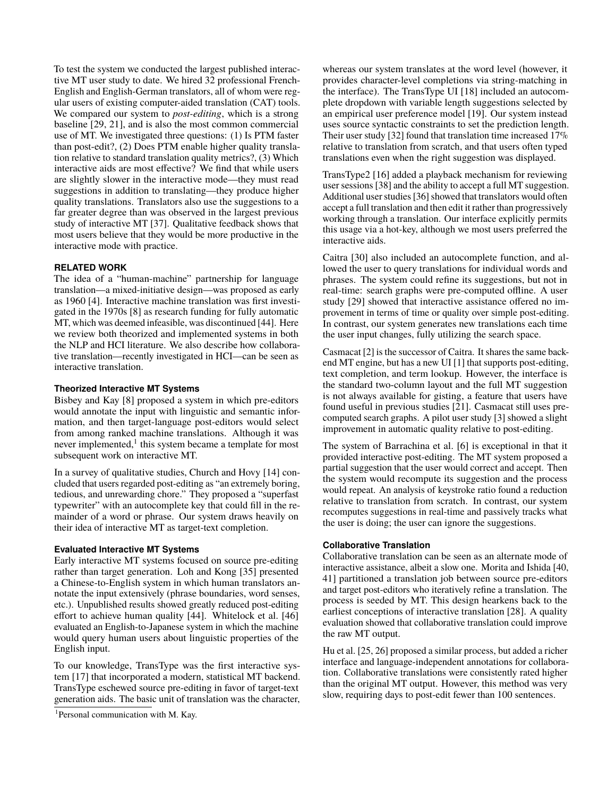To test the system we conducted the largest published interactive MT user study to date. We hired 32 professional French-English and English-German translators, all of whom were regular users of existing computer-aided translation (CAT) tools. We compared our system to *post-editing*, which is a strong baseline [\[29,](#page-10-5) [21\]](#page-10-6), and is also the most common commercial use of MT. We investigated three questions: (1) Is PTM faster than post-edit?, (2) Does PTM enable higher quality translation relative to standard translation quality metrics?, (3) Which interactive aids are most effective? We find that while users are slightly slower in the interactive mode—they must read suggestions in addition to translating—they produce higher quality translations. Translators also use the suggestions to a far greater degree than was observed in the largest previous study of interactive MT [\[37\]](#page-10-7). Qualitative feedback shows that most users believe that they would be more productive in the interactive mode with practice.

## **RELATED WORK**

The idea of a "human-machine" partnership for language translation—a mixed-initiative design—was proposed as early as 1960 [\[4\]](#page-10-8). Interactive machine translation was first investigated in the 1970s [\[8\]](#page-10-1) as research funding for fully automatic MT, which was deemed infeasible, was discontinued [\[44\]](#page-10-4). Here we review both theorized and implemented systems in both the NLP and HCI literature. We also describe how collaborative translation—recently investigated in HCI—can be seen as interactive translation.

### **Theorized Interactive MT Systems**

Bisbey and Kay [\[8\]](#page-10-1) proposed a system in which pre-editors would annotate the input with linguistic and semantic information, and then target-language post-editors would select from among ranked machine translations. Although it was never implemented,<sup>[1](#page-1-0)</sup> this system became a template for most subsequent work on interactive MT.

In a survey of qualitative studies, Church and Hovy [\[14\]](#page-10-9) concluded that users regarded post-editing as "an extremely boring, tedious, and unrewarding chore." They proposed a "superfast typewriter" with an autocomplete key that could fill in the remainder of a word or phrase. Our system draws heavily on their idea of interactive MT as target-text completion.

#### **Evaluated Interactive MT Systems**

Early interactive MT systems focused on source pre-editing rather than target generation. Loh and Kong [\[35\]](#page-10-10) presented a Chinese-to-English system in which human translators annotate the input extensively (phrase boundaries, word senses, etc.). Unpublished results showed greatly reduced post-editing effort to achieve human quality [\[44\]](#page-10-4). Whitelock et al. [\[46\]](#page-10-3) evaluated an English-to-Japanese system in which the machine would query human users about linguistic properties of the English input.

To our knowledge, TransType was the first interactive system [\[17\]](#page-10-11) that incorporated a modern, statistical MT backend. TransType eschewed source pre-editing in favor of target-text generation aids. The basic unit of translation was the character, whereas our system translates at the word level (however, it provides character-level completions via string-matching in the interface). The TransType UI [\[18\]](#page-10-12) included an autocomplete dropdown with variable length suggestions selected by an empirical user preference model [\[19\]](#page-10-13). Our system instead uses source syntactic constraints to set the prediction length. Their user study [\[32\]](#page-10-14) found that translation time increased 17% relative to translation from scratch, and that users often typed translations even when the right suggestion was displayed.

TransType2 [\[16\]](#page-10-15) added a playback mechanism for reviewing user sessions [\[38\]](#page-10-16) and the ability to accept a full MT suggestion. Additional user studies [\[36\]](#page-10-17) showed that translators would often accept a full translation and then edit it rather than progressively working through a translation. Our interface explicitly permits this usage via a hot-key, although we most users preferred the interactive aids.

Caitra [\[30\]](#page-10-18) also included an autocomplete function, and allowed the user to query translations for individual words and phrases. The system could refine its suggestions, but not in real-time: search graphs were pre-computed offline. A user study [\[29\]](#page-10-5) showed that interactive assistance offered no improvement in terms of time or quality over simple post-editing. In contrast, our system generates new translations each time the user input changes, fully utilizing the search space.

Casmacat [\[2\]](#page-10-19) is the successor of Caitra. It shares the same backend MT engine, but has a new UI [\[1\]](#page-10-20) that supports post-editing, text completion, and term lookup. However, the interface is the standard two-column layout and the full MT suggestion is not always available for gisting, a feature that users have found useful in previous studies [\[21\]](#page-10-6). Casmacat still uses precomputed search graphs. A pilot user study [\[3\]](#page-10-21) showed a slight improvement in automatic quality relative to post-editing.

The system of Barrachina et al. [\[6\]](#page-10-22) is exceptional in that it provided interactive post-editing. The MT system proposed a partial suggestion that the user would correct and accept. Then the system would recompute its suggestion and the process would repeat. An analysis of keystroke ratio found a reduction relative to translation from scratch. In contrast, our system recomputes suggestions in real-time and passively tracks what the user is doing; the user can ignore the suggestions.

### **Collaborative Translation**

Collaborative translation can be seen as an alternate mode of interactive assistance, albeit a slow one. Morita and Ishida [\[40,](#page-10-23) [41\]](#page-10-24) partitioned a translation job between source pre-editors and target post-editors who iteratively refine a translation. The process is seeded by MT. This design hearkens back to the earliest conceptions of interactive translation [\[28\]](#page-10-25). A quality evaluation showed that collaborative translation could improve the raw MT output.

Hu et al. [\[25,](#page-10-26) [26\]](#page-10-27) proposed a similar process, but added a richer interface and language-independent annotations for collaboration. Collaborative translations were consistently rated higher than the original MT output. However, this method was very slow, requiring days to post-edit fewer than 100 sentences.

<span id="page-1-0"></span><sup>&</sup>lt;sup>1</sup>Personal communication with M. Kay.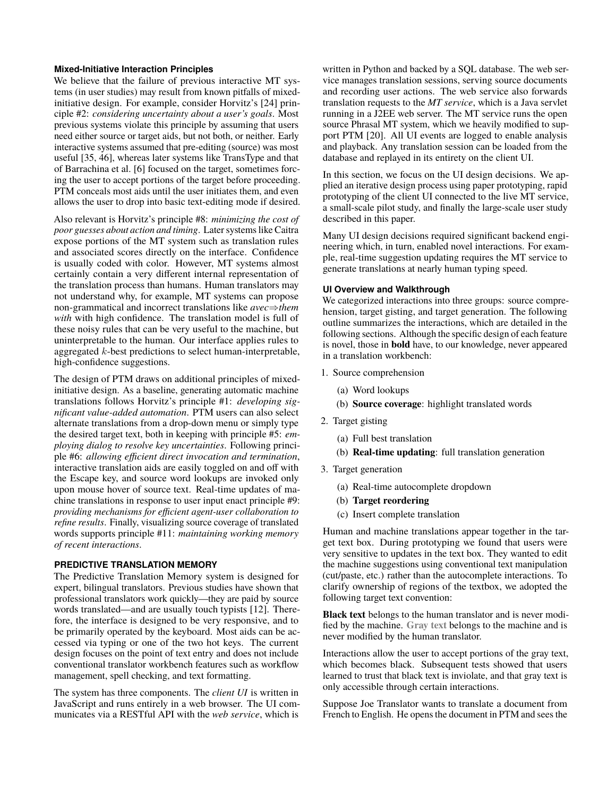## **Mixed-Initiative Interaction Principles**

We believe that the failure of previous interactive MT systems (in user studies) may result from known pitfalls of mixedinitiative design. For example, consider Horvitz's [\[24\]](#page-10-2) principle #2: *considering uncertainty about a user's goals*. Most previous systems violate this principle by assuming that users need either source or target aids, but not both, or neither. Early interactive systems assumed that pre-editing (source) was most useful [\[35,](#page-10-10) [46\]](#page-10-3), whereas later systems like TransType and that of Barrachina et al. [\[6\]](#page-10-22) focused on the target, sometimes forcing the user to accept portions of the target before proceeding. PTM conceals most aids until the user initiates them, and even allows the user to drop into basic text-editing mode if desired.

Also relevant is Horvitz's principle #8: *minimizing the cost of poor guesses about action and timing*. Later systems like Caitra expose portions of the MT system such as translation rules and associated scores directly on the interface. Confidence is usually coded with color. However, MT systems almost certainly contain a very different internal representation of the translation process than humans. Human translators may not understand why, for example, MT systems can propose non-grammatical and incorrect translations like *avec*⇒*them with* with high confidence. The translation model is full of these noisy rules that can be very useful to the machine, but uninterpretable to the human. Our interface applies rules to aggregated k-best predictions to select human-interpretable, high-confidence suggestions.

The design of PTM draws on additional principles of mixedinitiative design. As a baseline, generating automatic machine translations follows Horvitz's principle #1: *developing significant value-added automation*. PTM users can also select alternate translations from a drop-down menu or simply type the desired target text, both in keeping with principle #5: *employing dialog to resolve key uncertainties*. Following principle #6: *allowing efficient direct invocation and termination*, interactive translation aids are easily toggled on and off with the Escape key, and source word lookups are invoked only upon mouse hover of source text. Real-time updates of machine translations in response to user input enact principle #9: *providing mechanisms for efficient agent-user collaboration to refine results*. Finally, visualizing source coverage of translated words supports principle #11: *maintaining working memory of recent interactions*.

### **PREDICTIVE TRANSLATION MEMORY**

The Predictive Translation Memory system is designed for expert, bilingual translators. Previous studies have shown that professional translators work quickly—they are paid by source words translated—and are usually touch typists [\[12\]](#page-10-28). Therefore, the interface is designed to be very responsive, and to be primarily operated by the keyboard. Most aids can be accessed via typing or one of the two hot keys. The current design focuses on the point of text entry and does not include conventional translator workbench features such as workflow management, spell checking, and text formatting.

The system has three components. The *client UI* is written in JavaScript and runs entirely in a web browser. The UI communicates via a RESTful API with the *web service*, which is

written in Python and backed by a SQL database. The web service manages translation sessions, serving source documents and recording user actions. The web service also forwards translation requests to the *MT service*, which is a Java servlet running in a J2EE web server. The MT service runs the open source Phrasal MT system, which we heavily modified to support PTM [\[20\]](#page-10-29). All UI events are logged to enable analysis and playback. Any translation session can be loaded from the database and replayed in its entirety on the client UI.

In this section, we focus on the UI design decisions. We applied an iterative design process using paper prototyping, rapid prototyping of the client UI connected to the live MT service, a small-scale pilot study, and finally the large-scale user study described in this paper.

Many UI design decisions required significant backend engineering which, in turn, enabled novel interactions. For example, real-time suggestion updating requires the MT service to generate translations at nearly human typing speed.

## **UI Overview and Walkthrough**

We categorized interactions into three groups: source comprehension, target gisting, and target generation. The following outline summarizes the interactions, which are detailed in the following sections. Although the specific design of each feature is novel, those in **bold** have, to our knowledge, never appeared in a translation workbench:

- 1. Source comprehension
	- (a) Word lookups
	- (b) **Source coverage**: highlight translated words
- 2. Target gisting
	- (a) Full best translation
	- (b) **Real-time updating**: full translation generation
- 3. Target generation
	- (a) Real-time autocomplete dropdown
	- (b) **Target reordering**
	- (c) Insert complete translation

Human and machine translations appear together in the target text box. During prototyping we found that users were very sensitive to updates in the text box. They wanted to edit the machine suggestions using conventional text manipulation (cut/paste, etc.) rather than the autocomplete interactions. To clarify ownership of regions of the textbox, we adopted the following target text convention:

**Black text** belongs to the human translator and is never modified by the machine. **Gray text** belongs to the machine and is never modified by the human translator.

Interactions allow the user to accept portions of the gray text, which becomes black. Subsequent tests showed that users learned to trust that black text is inviolate, and that gray text is only accessible through certain interactions.

Suppose Joe Translator wants to translate a document from French to English. He opens the document in PTM and sees the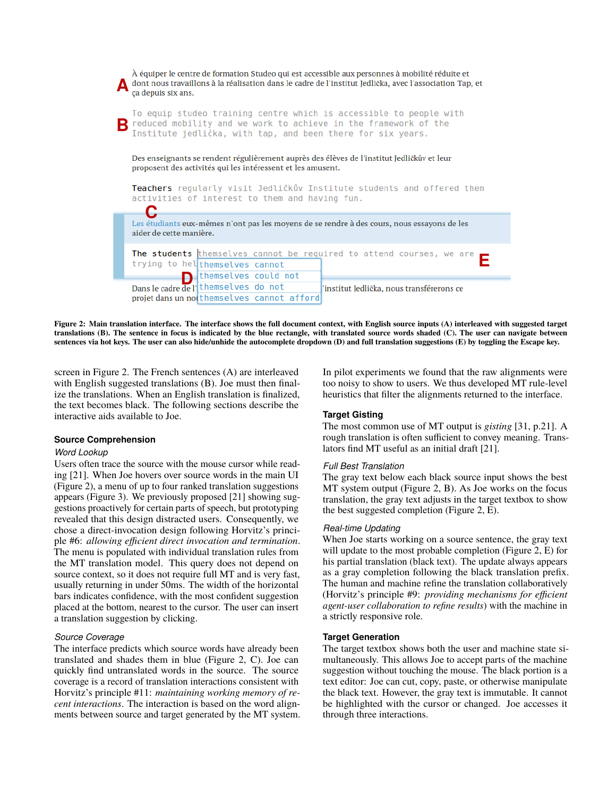<span id="page-3-0"></span>

**Figure 2: Main translation interface. The interface shows the full document context, with English source inputs (A) interleaved with suggested target translations (B). The sentence in focus is indicated by the blue rectangle, with translated source words shaded (C). The user can navigate between sentences via hot keys. The user can also hide/unhide the autocomplete dropdown (D) and full translation suggestions (E) by toggling the Escape key.**

screen in Figure [2.](#page-3-0) The French sentences (A) are interleaved with English suggested translations (B). Joe must then finalize the translations. When an English translation is finalized, the text becomes black. The following sections describe the interactive aids available to Joe.

### **Source Comprehension**

#### *Word Lookup*

Users often trace the source with the mouse cursor while reading [\[21\]](#page-10-6). When Joe hovers over source words in the main UI (Figure [2\)](#page-3-0), a menu of up to four ranked translation suggestions appears (Figure [3\)](#page-4-0). We previously proposed [\[21\]](#page-10-6) showing suggestions proactively for certain parts of speech, but prototyping revealed that this design distracted users. Consequently, we chose a direct-invocation design following Horvitz's principle #6: *allowing efficient direct invocation and termination*. The menu is populated with individual translation rules from the MT translation model. This query does not depend on source context, so it does not require full MT and is very fast, usually returning in under 50ms. The width of the horizontal bars indicates confidence, with the most confident suggestion placed at the bottom, nearest to the cursor. The user can insert a translation suggestion by clicking.

#### *Source Coverage*

The interface predicts which source words have already been translated and shades them in blue (Figure [2,](#page-3-0) C). Joe can quickly find untranslated words in the source. The source coverage is a record of translation interactions consistent with Horvitz's principle #11: *maintaining working memory of recent interactions*. The interaction is based on the word alignments between source and target generated by the MT system. In pilot experiments we found that the raw alignments were too noisy to show to users. We thus developed MT rule-level heuristics that filter the alignments returned to the interface.

#### **Target Gisting**

The most common use of MT output is *gisting* [\[31,](#page-10-30) p.21]. A rough translation is often sufficient to convey meaning. Translators find MT useful as an initial draft [\[21\]](#page-10-6).

#### *Full Best Translation*

The gray text below each black source input shows the best MT system output (Figure [2,](#page-3-0) B). As Joe works on the focus translation, the gray text adjusts in the target textbox to show the best suggested completion (Figure [2,](#page-3-0) E).

#### *Real-time Updating*

When Joe starts working on a source sentence, the gray text will update to the most probable completion (Figure [2,](#page-3-0) E) for his partial translation (black text). The update always appears as a gray completion following the black translation prefix. The human and machine refine the translation collaboratively (Horvitz's principle #9: *providing mechanisms for efficient agent-user collaboration to refine results*) with the machine in a strictly responsive role.

## **Target Generation**

The target textbox shows both the user and machine state simultaneously. This allows Joe to accept parts of the machine suggestion without touching the mouse. The black portion is a text editor: Joe can cut, copy, paste, or otherwise manipulate the black text. However, the gray text is immutable. It cannot be highlighted with the cursor or changed. Joe accesses it through three interactions.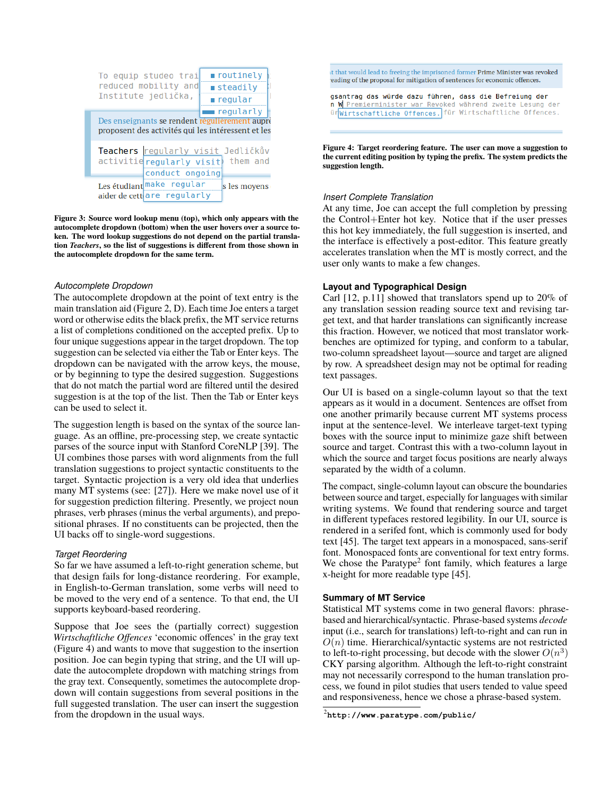<span id="page-4-0"></span>

**Figure 3: Source word lookup menu (top), which only appears with the autocomplete dropdown (bottom) when the user hovers over a source token. The word lookup suggestions do not depend on the partial translation** *Teachers***, so the list of suggestions is different from those shown in the autocomplete dropdown for the same term.**

#### *Autocomplete Dropdown*

The autocomplete dropdown at the point of text entry is the main translation aid (Figure [2,](#page-3-0) D). Each time Joe enters a target word or otherwise edits the black prefix, the MT service returns a list of completions conditioned on the accepted prefix. Up to four unique suggestions appear in the target dropdown. The top suggestion can be selected via either the Tab or Enter keys. The dropdown can be navigated with the arrow keys, the mouse, or by beginning to type the desired suggestion. Suggestions that do not match the partial word are filtered until the desired suggestion is at the top of the list. Then the Tab or Enter keys can be used to select it.

The suggestion length is based on the syntax of the source language. As an offline, pre-processing step, we create syntactic parses of the source input with Stanford CoreNLP [\[39\]](#page-10-31). The UI combines those parses with word alignments from the full translation suggestions to project syntactic constituents to the target. Syntactic projection is a very old idea that underlies many MT systems (see: [\[27\]](#page-10-32)). Here we make novel use of it for suggestion prediction filtering. Presently, we project noun phrases, verb phrases (minus the verbal arguments), and prepositional phrases. If no constituents can be projected, then the UI backs off to single-word suggestions.

#### *Target Reordering*

So far we have assumed a left-to-right generation scheme, but that design fails for long-distance reordering. For example, in English-to-German translation, some verbs will need to be moved to the very end of a sentence. To that end, the UI supports keyboard-based reordering.

Suppose that Joe sees the (partially correct) suggestion *Wirtschaftliche Offences* 'economic offences' in the gray text (Figure [4\)](#page-4-1) and wants to move that suggestion to the insertion position. Joe can begin typing that string, and the UI will update the autocomplete dropdown with matching strings from the gray text. Consequently, sometimes the autocomplete dropdown will contain suggestions from several positions in the full suggested translation. The user can insert the suggestion from the dropdown in the usual ways.

<span id="page-4-1"></span>

**Figure 4: Target reordering feature. The user can move a suggestion to the current editing position by typing the prefix. The system predicts the suggestion length.**

#### *Insert Complete Translation*

At any time, Joe can accept the full completion by pressing the Control+Enter hot key. Notice that if the user presses this hot key immediately, the full suggestion is inserted, and the interface is effectively a post-editor. This feature greatly accelerates translation when the MT is mostly correct, and the user only wants to make a few changes.

## **Layout and Typographical Design**

Carl [\[12,](#page-10-28) p.11] showed that translators spend up to 20% of any translation session reading source text and revising target text, and that harder translations can significantly increase this fraction. However, we noticed that most translator workbenches are optimized for typing, and conform to a tabular, two-column spreadsheet layout—source and target are aligned by row. A spreadsheet design may not be optimal for reading text passages.

Our UI is based on a single-column layout so that the text appears as it would in a document. Sentences are offset from one another primarily because current MT systems process input at the sentence-level. We interleave target-text typing boxes with the source input to minimize gaze shift between source and target. Contrast this with a two-column layout in which the source and target focus positions are nearly always separated by the width of a column.

The compact, single-column layout can obscure the boundaries between source and target, especially for languages with similar writing systems. We found that rendering source and target in different typefaces restored legibility. In our UI, source is rendered in a serifed font, which is commonly used for body text [\[45\]](#page-10-33). The target text appears in a monospaced, sans-serif font. Monospaced fonts are conventional for text entry forms. We chose the Paratype<sup>[2](#page-4-2)</sup> font family, which features a large x-height for more readable type [\[45\]](#page-10-33).

## **Summary of MT Service**

Statistical MT systems come in two general flavors: phrasebased and hierarchical/syntactic. Phrase-based systems *decode* input (i.e., search for translations) left-to-right and can run in  $O(n)$  time. Hierarchical/syntactic systems are not restricted to left-to-right processing, but decode with the slower  $O(n^3)$ CKY parsing algorithm. Although the left-to-right constraint may not necessarily correspond to the human translation process, we found in pilot studies that users tended to value speed and responsiveness, hence we chose a phrase-based system.

<span id="page-4-2"></span><sup>2</sup> **<http://www.paratype.com/public/>**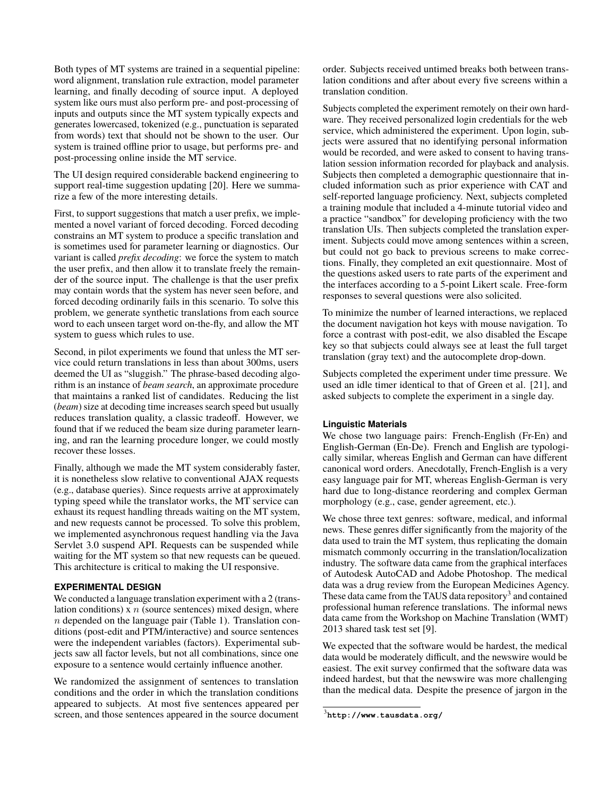Both types of MT systems are trained in a sequential pipeline: word alignment, translation rule extraction, model parameter learning, and finally decoding of source input. A deployed system like ours must also perform pre- and post-processing of inputs and outputs since the MT system typically expects and generates lowercased, tokenized (e.g., punctuation is separated from words) text that should not be shown to the user. Our system is trained offline prior to usage, but performs pre- and post-processing online inside the MT service.

The UI design required considerable backend engineering to support real-time suggestion updating [\[20\]](#page-10-29). Here we summarize a few of the more interesting details.

First, to support suggestions that match a user prefix, we implemented a novel variant of forced decoding. Forced decoding constrains an MT system to produce a specific translation and is sometimes used for parameter learning or diagnostics. Our variant is called *prefix decoding*: we force the system to match the user prefix, and then allow it to translate freely the remainder of the source input. The challenge is that the user prefix may contain words that the system has never seen before, and forced decoding ordinarily fails in this scenario. To solve this problem, we generate synthetic translations from each source word to each unseen target word on-the-fly, and allow the MT system to guess which rules to use.

Second, in pilot experiments we found that unless the MT service could return translations in less than about 300ms, users deemed the UI as "sluggish." The phrase-based decoding algorithm is an instance of *beam search*, an approximate procedure that maintains a ranked list of candidates. Reducing the list (*beam*) size at decoding time increases search speed but usually reduces translation quality, a classic tradeoff. However, we found that if we reduced the beam size during parameter learning, and ran the learning procedure longer, we could mostly recover these losses.

Finally, although we made the MT system considerably faster, it is nonetheless slow relative to conventional AJAX requests (e.g., database queries). Since requests arrive at approximately typing speed while the translator works, the MT service can exhaust its request handling threads waiting on the MT system, and new requests cannot be processed. To solve this problem, we implemented asynchronous request handling via the Java Servlet 3.0 suspend API. Requests can be suspended while waiting for the MT system so that new requests can be queued. This architecture is critical to making the UI responsive.

## **EXPERIMENTAL DESIGN**

We conducted a language translation experiment with a 2 (translation conditions) x  $n$  (source sentences) mixed design, where n depended on the language pair (Table [1\)](#page-6-0). Translation conditions (post-edit and PTM/interactive) and source sentences were the independent variables (factors). Experimental subjects saw all factor levels, but not all combinations, since one exposure to a sentence would certainly influence another.

We randomized the assignment of sentences to translation conditions and the order in which the translation conditions appeared to subjects. At most five sentences appeared per screen, and those sentences appeared in the source document order. Subjects received untimed breaks both between translation conditions and after about every five screens within a translation condition.

Subjects completed the experiment remotely on their own hardware. They received personalized login credentials for the web service, which administered the experiment. Upon login, subjects were assured that no identifying personal information would be recorded, and were asked to consent to having translation session information recorded for playback and analysis. Subjects then completed a demographic questionnaire that included information such as prior experience with CAT and self-reported language proficiency. Next, subjects completed a training module that included a 4-minute tutorial video and a practice "sandbox" for developing proficiency with the two translation UIs. Then subjects completed the translation experiment. Subjects could move among sentences within a screen, but could not go back to previous screens to make corrections. Finally, they completed an exit questionnaire. Most of the questions asked users to rate parts of the experiment and the interfaces according to a 5-point Likert scale. Free-form responses to several questions were also solicited.

To minimize the number of learned interactions, we replaced the document navigation hot keys with mouse navigation. To force a contrast with post-edit, we also disabled the Escape key so that subjects could always see at least the full target translation (gray text) and the autocomplete drop-down.

Subjects completed the experiment under time pressure. We used an idle timer identical to that of Green et al. [\[21\]](#page-10-6), and asked subjects to complete the experiment in a single day.

## **Linguistic Materials**

We chose two language pairs: French-English (Fr-En) and English-German (En-De). French and English are typologically similar, whereas English and German can have different canonical word orders. Anecdotally, French-English is a very easy language pair for MT, whereas English-German is very hard due to long-distance reordering and complex German morphology (e.g., case, gender agreement, etc.).

We chose three text genres: software, medical, and informal news. These genres differ significantly from the majority of the data used to train the MT system, thus replicating the domain mismatch commonly occurring in the translation/localization industry. The software data came from the graphical interfaces of Autodesk AutoCAD and Adobe Photoshop. The medical data was a drug review from the European Medicines Agency. These data came from the TAUS data repository<sup>[3](#page-5-0)</sup> and contained professional human reference translations. The informal news data came from the Workshop on Machine Translation (WMT) 2013 shared task test set [\[9\]](#page-10-34).

We expected that the software would be hardest, the medical data would be moderately difficult, and the newswire would be easiest. The exit survey confirmed that the software data was indeed hardest, but that the newswire was more challenging than the medical data. Despite the presence of jargon in the

<span id="page-5-0"></span><sup>3</sup> **<http://www.tausdata.org/>**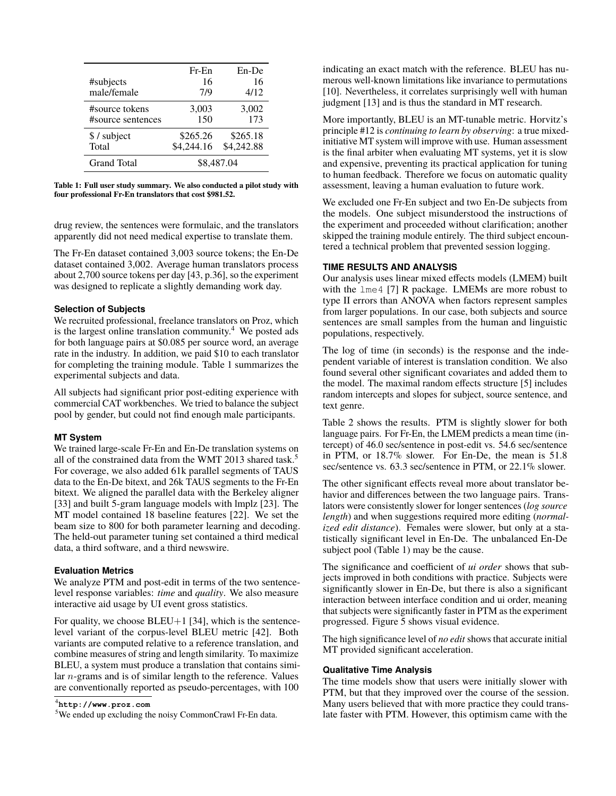<span id="page-6-0"></span>

| #subjects<br>male/female | $Fr$ - $En$<br>16<br>7/9 | $En$ -De<br>16<br>4/12 |  |
|--------------------------|--------------------------|------------------------|--|
| #source tokens           | 3,003                    | 3,002                  |  |
| #source sentences        | 150                      | 173                    |  |
| \$/subject               | \$265.26                 | \$265.18               |  |
| Total                    | \$4,244.16               | \$4,242.88             |  |
| <b>Grand Total</b>       | \$8,487.04               |                        |  |

**Table 1: Full user study summary. We also conducted a pilot study with four professional Fr-En translators that cost \$981.52.**

drug review, the sentences were formulaic, and the translators apparently did not need medical expertise to translate them.

The Fr-En dataset contained 3,003 source tokens; the En-De dataset contained 3,002. Average human translators process about 2,700 source tokens per day [\[43,](#page-10-35) p.36], so the experiment was designed to replicate a slightly demanding work day.

## **Selection of Subjects**

We recruited professional, freelance translators on Proz, which is the largest online translation community.<sup>[4](#page-6-1)</sup> We posted ads for both language pairs at \$0.085 per source word, an average rate in the industry. In addition, we paid \$10 to each translator for completing the training module. Table [1](#page-6-0) summarizes the experimental subjects and data.

All subjects had significant prior post-editing experience with commercial CAT workbenches. We tried to balance the subject pool by gender, but could not find enough male participants.

## **MT System**

We trained large-scale Fr-En and En-De translation systems on all of the constrained data from the WMT 2013 shared task.<sup>[5](#page-6-2)</sup> For coverage, we also added 61k parallel segments of TAUS data to the En-De bitext, and 26k TAUS segments to the Fr-En bitext. We aligned the parallel data with the Berkeley aligner [\[33\]](#page-10-36) and built 5-gram language models with lmplz [\[23\]](#page-10-37). The MT model contained 18 baseline features [\[22\]](#page-10-38). We set the beam size to 800 for both parameter learning and decoding. The held-out parameter tuning set contained a third medical data, a third software, and a third newswire.

## **Evaluation Metrics**

We analyze PTM and post-edit in terms of the two sentencelevel response variables: *time* and *quality*. We also measure interactive aid usage by UI event gross statistics.

For quality, we choose  $BLEU+1$  [\[34\]](#page-10-39), which is the sentencelevel variant of the corpus-level BLEU metric [\[42\]](#page-10-40). Both variants are computed relative to a reference translation, and combine measures of string and length similarity. To maximize BLEU, a system must produce a translation that contains similar n-grams and is of similar length to the reference. Values are conventionally reported as pseudo-percentages, with 100

indicating an exact match with the reference. BLEU has numerous well-known limitations like invariance to permutations [\[10\]](#page-10-41). Nevertheless, it correlates surprisingly well with human judgment [\[13\]](#page-10-42) and is thus the standard in MT research.

More importantly, BLEU is an MT-tunable metric. Horvitz's principle #12 is *continuing to learn by observing*: a true mixedinitiative MT system will improve with use. Human assessment is the final arbiter when evaluating MT systems, yet it is slow and expensive, preventing its practical application for tuning to human feedback. Therefore we focus on automatic quality assessment, leaving a human evaluation to future work.

We excluded one Fr-En subject and two En-De subjects from the models. One subject misunderstood the instructions of the experiment and proceeded without clarification; another skipped the training module entirely. The third subject encountered a technical problem that prevented session logging.

## **TIME RESULTS AND ANALYSIS**

Our analysis uses linear mixed effects models (LMEM) built with the  $l$ me4 [\[7\]](#page-10-43) R package. LMEMs are more robust to type II errors than ANOVA when factors represent samples from larger populations. In our case, both subjects and source sentences are small samples from the human and linguistic populations, respectively.

The log of time (in seconds) is the response and the independent variable of interest is translation condition. We also found several other significant covariates and added them to the model. The maximal random effects structure [\[5\]](#page-10-44) includes random intercepts and slopes for subject, source sentence, and text genre.

Table [2](#page-7-0) shows the results. PTM is slightly slower for both language pairs. For Fr-En, the LMEM predicts a mean time (intercept) of 46.0 sec/sentence in post-edit vs. 54.6 sec/sentence in PTM, or 18.7% slower. For En-De, the mean is 51.8 sec/sentence vs. 63.3 sec/sentence in PTM, or 22.1% slower.

The other significant effects reveal more about translator behavior and differences between the two language pairs. Translators were consistently slower for longer sentences (*log source length*) and when suggestions required more editing (*normalized edit distance*). Females were slower, but only at a statistically significant level in En-De. The unbalanced En-De subject pool (Table [1\)](#page-6-0) may be the cause.

The significance and coefficient of *ui order* shows that subjects improved in both conditions with practice. Subjects were significantly slower in En-De, but there is also a significant interaction between interface condition and ui order, meaning that subjects were significantly faster in PTM as the experiment progressed. Figure [5](#page-7-1) shows visual evidence.

The high significance level of *no edit* shows that accurate initial MT provided significant acceleration.

## **Qualitative Time Analysis**

The time models show that users were initially slower with PTM, but that they improved over the course of the session. Many users believed that with more practice they could translate faster with PTM. However, this optimism came with the

<span id="page-6-1"></span><sup>4</sup> **<http://www.proz.com>**

<span id="page-6-2"></span><sup>&</sup>lt;sup>5</sup>We ended up excluding the noisy CommonCrawl Fr-En data.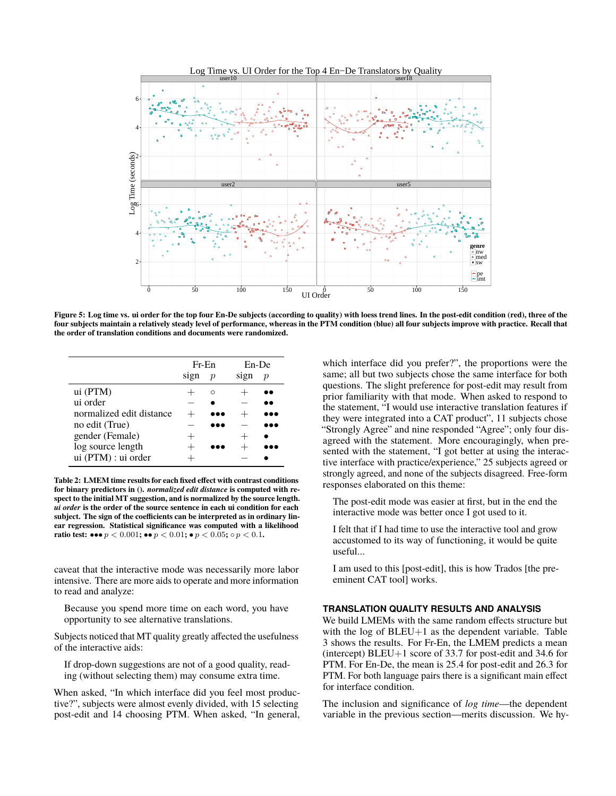<span id="page-7-1"></span>

**Figure 5: Log time vs. ui order for the top four En-De subjects (according to quality) with loess trend lines. In the post-edit condition (red), three of the four subjects maintain a relatively steady level of performance, whereas in the PTM condition (blue) all four subjects improve with practice. Recall that the order of translation conditions and documents were randomized.**

<span id="page-7-0"></span>

|                          | $Fr$ - $En$ |               | $En$ -De |                  |
|--------------------------|-------------|---------------|----------|------------------|
|                          | sign        | $\mathcal{p}$ | sign     | $\boldsymbol{p}$ |
| ui $(PTM)$               |             | $\Omega$      |          |                  |
| ui order                 |             |               |          |                  |
| normalized edit distance |             |               |          |                  |
| no edit (True)           |             |               |          |                  |
| gender (Female)          |             |               |          |                  |
| log source length        |             |               |          |                  |
| ui (PTM) : ui order      |             |               |          |                  |

**Table 2: LMEM time results for each fixed effect with contrast conditions for binary predictors in ().** *normalized edit distance* **is computed with respect to the initial MT suggestion, and is normalized by the source length.** *ui order* **is the order of the source sentence in each ui condition for each subject. The sign of the coefficients can be interpreted as in ordinary linear regression. Statistical significance was computed with a likelihood ratio test:** ••• p < 0.001**;** •• p < 0.01**;** • p < 0.05**;** ◦ p < 0.1**.**

caveat that the interactive mode was necessarily more labor intensive. There are more aids to operate and more information to read and analyze:

Because you spend more time on each word, you have opportunity to see alternative translations.

Subjects noticed that MT quality greatly affected the usefulness of the interactive aids:

If drop-down suggestions are not of a good quality, reading (without selecting them) may consume extra time.

When asked, "In which interface did you feel most productive?", subjects were almost evenly divided, with 15 selecting post-edit and 14 choosing PTM. When asked, "In general, which interface did you prefer?", the proportions were the same; all but two subjects chose the same interface for both questions. The slight preference for post-edit may result from prior familiarity with that mode. When asked to respond to the statement, "I would use interactive translation features if they were integrated into a CAT product", 11 subjects chose "Strongly Agree" and nine responded "Agree"; only four disagreed with the statement. More encouragingly, when presented with the statement, "I got better at using the interactive interface with practice/experience," 25 subjects agreed or strongly agreed, and none of the subjects disagreed. Free-form responses elaborated on this theme:

The post-edit mode was easier at first, but in the end the interactive mode was better once I got used to it.

I felt that if I had time to use the interactive tool and grow accustomed to its way of functioning, it would be quite useful...

I am used to this [post-edit], this is how Trados [the preeminent CAT tool] works.

# **TRANSLATION QUALITY RESULTS AND ANALYSIS**

We build LMEMs with the same random effects structure but with the log of  $BLEU+1$  as the dependent variable. Table [3](#page-8-0) shows the results. For Fr-En, the LMEM predicts a mean (intercept) BLEU+1 score of 33.7 for post-edit and 34.6 for PTM. For En-De, the mean is 25.4 for post-edit and 26.3 for PTM. For both language pairs there is a significant main effect for interface condition.

The inclusion and significance of *log time*—the dependent variable in the previous section—merits discussion. We hy-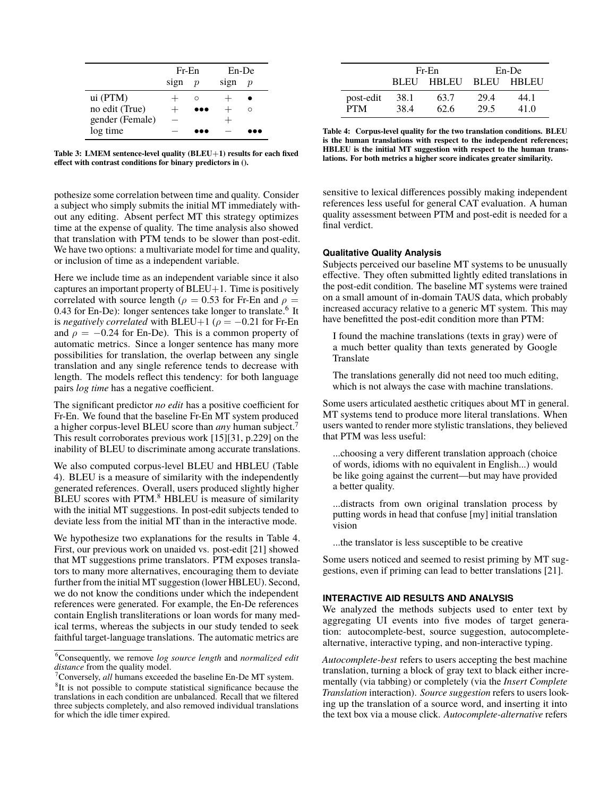<span id="page-8-0"></span>

|                 | $Fr$ -En |                  | $En$ -De |                  |
|-----------------|----------|------------------|----------|------------------|
|                 | sign     | $\boldsymbol{p}$ | sign     | $\boldsymbol{p}$ |
| ui $(PTM)$      |          |                  |          |                  |
| no edit (True)  |          |                  |          |                  |
| gender (Female) |          |                  |          |                  |
| log time        |          |                  |          |                  |

**Table 3: LMEM sentence-level quality (BLEU**+**1) results for each fixed effect with contrast conditions for binary predictors in ().**

pothesize some correlation between time and quality. Consider a subject who simply submits the initial MT immediately without any editing. Absent perfect MT this strategy optimizes time at the expense of quality. The time analysis also showed that translation with PTM tends to be slower than post-edit. We have two options: a multivariate model for time and quality, or inclusion of time as a independent variable.

Here we include time as an independent variable since it also captures an important property of  $BLEU+1$ . Time is positively correlated with source length ( $\rho = 0.53$  for Fr-En and  $\rho =$ 0.43 for En-De): longer sentences take longer to translate.<sup>[6](#page-8-1)</sup> It is *negatively correlated* with BLEU+1 ( $\rho = -0.21$  for Fr-En and  $\rho = -0.24$  for En-De). This is a common property of automatic metrics. Since a longer sentence has many more possibilities for translation, the overlap between any single translation and any single reference tends to decrease with length. The models reflect this tendency: for both language pairs *log time* has a negative coefficient.

The significant predictor *no edit* has a positive coefficient for Fr-En. We found that the baseline Fr-En MT system produced a higher corpus-level BLEU score than *any* human subject.[7](#page-8-2) This result corroborates previous work [\[15\]](#page-10-45)[\[31,](#page-10-30) p.229] on the inability of BLEU to discriminate among accurate translations.

We also computed corpus-level BLEU and HBLEU (Table [4\)](#page-8-3). BLEU is a measure of similarity with the independently generated references. Overall, users produced slightly higher BLEU scores with PTM.<sup>[8](#page-8-4)</sup> HBLEU is measure of similarity with the initial MT suggestions. In post-edit subjects tended to deviate less from the initial MT than in the interactive mode.

We hypothesize two explanations for the results in Table [4.](#page-8-3) First, our previous work on unaided vs. post-edit [\[21\]](#page-10-6) showed that MT suggestions prime translators. PTM exposes translators to many more alternatives, encouraging them to deviate further from the initial MT suggestion (lower HBLEU). Second, we do not know the conditions under which the independent references were generated. For example, the En-De references contain English transliterations or loan words for many medical terms, whereas the subjects in our study tended to seek faithful target-language translations. The automatic metrics are

<span id="page-8-3"></span>

|                         | $Fr$ -En     |                       | $En$ -De     |              |
|-------------------------|--------------|-----------------------|--------------|--------------|
|                         |              | BLEU HBLEU BLEU HBLEU |              |              |
| post-edit<br><b>PTM</b> | 38.1<br>38.4 | 63.7<br>62.6          | 29.4<br>29.5 | 44.1<br>41.0 |

**Table 4: Corpus-level quality for the two translation conditions. BLEU is the human translations with respect to the independent references; HBLEU is the initial MT suggestion with respect to the human translations. For both metrics a higher score indicates greater similarity.**

sensitive to lexical differences possibly making independent references less useful for general CAT evaluation. A human quality assessment between PTM and post-edit is needed for a final verdict.

## **Qualitative Quality Analysis**

Subjects perceived our baseline MT systems to be unusually effective. They often submitted lightly edited translations in the post-edit condition. The baseline MT systems were trained on a small amount of in-domain TAUS data, which probably increased accuracy relative to a generic MT system. This may have benefitted the post-edit condition more than PTM:

I found the machine translations (texts in gray) were of a much better quality than texts generated by Google Translate

The translations generally did not need too much editing, which is not always the case with machine translations.

Some users articulated aesthetic critiques about MT in general. MT systems tend to produce more literal translations. When users wanted to render more stylistic translations, they believed that PTM was less useful:

...choosing a very different translation approach (choice of words, idioms with no equivalent in English...) would be like going against the current—but may have provided a better quality.

...distracts from own original translation process by putting words in head that confuse [my] initial translation vision

...the translator is less susceptible to be creative

Some users noticed and seemed to resist priming by MT suggestions, even if priming can lead to better translations [\[21\]](#page-10-6).

# **INTERACTIVE AID RESULTS AND ANALYSIS**

We analyzed the methods subjects used to enter text by aggregating UI events into five modes of target generation: autocomplete-best, source suggestion, autocompletealternative, interactive typing, and non-interactive typing.

*Autocomplete-best* refers to users accepting the best machine translation, turning a block of gray text to black either incrementally (via tabbing) or completely (via the *Insert Complete Translation* interaction). *Source suggestion* refers to users looking up the translation of a source word, and inserting it into the text box via a mouse click. *Autocomplete-alternative* refers

<span id="page-8-1"></span><sup>6</sup>Consequently, we remove *log source length* and *normalized edit distance* from the quality model.

<span id="page-8-2"></span><sup>7</sup>Conversely, *all* humans exceeded the baseline En-De MT system.

<span id="page-8-4"></span><sup>&</sup>lt;sup>8</sup>It is not possible to compute statistical significance because the translations in each condition are unbalanced. Recall that we filtered three subjects completely, and also removed individual translations for which the idle timer expired.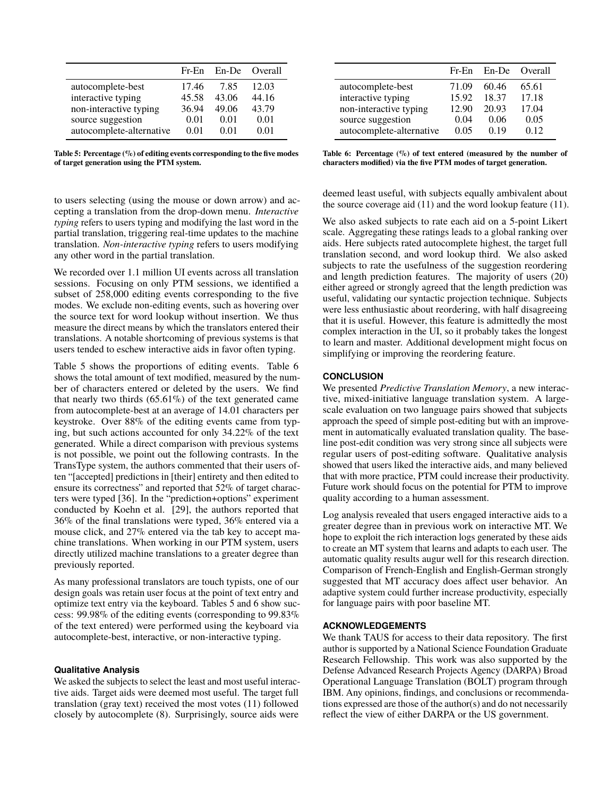<span id="page-9-0"></span>

|                          | Fr-En | En-De | Overall |
|--------------------------|-------|-------|---------|
| autocomplete-best        | 17.46 | 7.85  | 12.03   |
| interactive typing       | 45.58 | 43.06 | 44.16   |
| non-interactive typing   | 36.94 | 49.06 | 43.79   |
| source suggestion        | 0.01  | 0.01  | 0.01    |
| autocomplete-alternative | 0.01  | O 01  | 0.01    |

**Table 5: Percentage (%) of editing events corresponding to the five modes of target generation using the PTM system.**

to users selecting (using the mouse or down arrow) and accepting a translation from the drop-down menu. *Interactive typing* refers to users typing and modifying the last word in the partial translation, triggering real-time updates to the machine translation. *Non-interactive typing* refers to users modifying any other word in the partial translation.

We recorded over 1.1 million UI events across all translation sessions. Focusing on only PTM sessions, we identified a subset of 258,000 editing events corresponding to the five modes. We exclude non-editing events, such as hovering over the source text for word lookup without insertion. We thus measure the direct means by which the translators entered their translations. A notable shortcoming of previous systems is that users tended to eschew interactive aids in favor often typing.

Table [5](#page-9-0) shows the proportions of editing events. Table [6](#page-9-1) shows the total amount of text modified, measured by the number of characters entered or deleted by the users. We find that nearly two thirds (65.61%) of the text generated came from autocomplete-best at an average of 14.01 characters per keystroke. Over 88% of the editing events came from typing, but such actions accounted for only 34.22% of the text generated. While a direct comparison with previous systems is not possible, we point out the following contrasts. In the TransType system, the authors commented that their users often "[accepted] predictions in [their] entirety and then edited to ensure its correctness" and reported that 52% of target characters were typed [\[36\]](#page-10-17). In the "prediction+options" experiment conducted by Koehn et al. [\[29\]](#page-10-5), the authors reported that 36% of the final translations were typed, 36% entered via a mouse click, and 27% entered via the tab key to accept machine translations. When working in our PTM system, users directly utilized machine translations to a greater degree than previously reported.

As many professional translators are touch typists, one of our design goals was retain user focus at the point of text entry and optimize text entry via the keyboard. Tables [5](#page-9-0) and [6](#page-9-1) show success: 99.98% of the editing events (corresponding to 99.83% of the text entered) were performed using the keyboard via autocomplete-best, interactive, or non-interactive typing.

### **Qualitative Analysis**

We asked the subjects to select the least and most useful interactive aids. Target aids were deemed most useful. The target full translation (gray text) received the most votes (11) followed closely by autocomplete (8). Surprisingly, source aids were

<span id="page-9-1"></span>

|                          |       | $Fr$ -En En-De | Overall |
|--------------------------|-------|----------------|---------|
| autocomplete-best        | 71.09 | 60.46          | 65.61   |
| interactive typing       | 15.92 | 18.37          | 17.18   |
| non-interactive typing   | 12.90 | 20.93          | 17.04   |
| source suggestion        | 0.04  | 0.06           | 0.05    |
| autocomplete-alternative | 0.05  | 0.19           | 012     |

**Table 6: Percentage (%) of text entered (measured by the number of characters modified) via the five PTM modes of target generation.**

deemed least useful, with subjects equally ambivalent about the source coverage aid (11) and the word lookup feature (11).

We also asked subjects to rate each aid on a 5-point Likert scale. Aggregating these ratings leads to a global ranking over aids. Here subjects rated autocomplete highest, the target full translation second, and word lookup third. We also asked subjects to rate the usefulness of the suggestion reordering and length prediction features. The majority of users (20) either agreed or strongly agreed that the length prediction was useful, validating our syntactic projection technique. Subjects were less enthusiastic about reordering, with half disagreeing that it is useful. However, this feature is admittedly the most complex interaction in the UI, so it probably takes the longest to learn and master. Additional development might focus on simplifying or improving the reordering feature.

## **CONCLUSION**

We presented *Predictive Translation Memory*, a new interactive, mixed-initiative language translation system. A largescale evaluation on two language pairs showed that subjects approach the speed of simple post-editing but with an improvement in automatically evaluated translation quality. The baseline post-edit condition was very strong since all subjects were regular users of post-editing software. Qualitative analysis showed that users liked the interactive aids, and many believed that with more practice, PTM could increase their productivity. Future work should focus on the potential for PTM to improve quality according to a human assessment.

Log analysis revealed that users engaged interactive aids to a greater degree than in previous work on interactive MT. We hope to exploit the rich interaction logs generated by these aids to create an MT system that learns and adapts to each user. The automatic quality results augur well for this research direction. Comparison of French-English and English-German strongly suggested that MT accuracy does affect user behavior. An adaptive system could further increase productivity, especially for language pairs with poor baseline MT.

### **ACKNOWLEDGEMENTS**

We thank TAUS for access to their data repository. The first author is supported by a National Science Foundation Graduate Research Fellowship. This work was also supported by the Defense Advanced Research Projects Agency (DARPA) Broad Operational Language Translation (BOLT) program through IBM. Any opinions, findings, and conclusions or recommendations expressed are those of the author(s) and do not necessarily reflect the view of either DARPA or the US government.